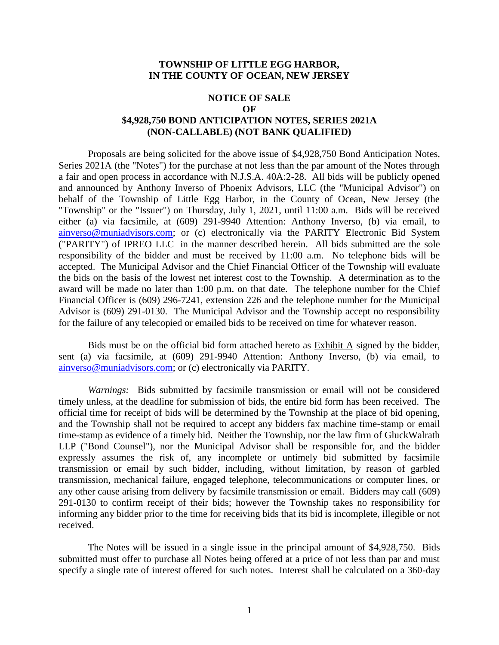#### **TOWNSHIP OF LITTLE EGG HARBOR, IN THE COUNTY OF OCEAN, NEW JERSEY**

#### **NOTICE OF SALE**

**OF**

## **\$4,928,750 BOND ANTICIPATION NOTES, SERIES 2021A (NON-CALLABLE) (NOT BANK QUALIFIED)**

Proposals are being solicited for the above issue of \$4,928,750 Bond Anticipation Notes, Series 2021A (the "Notes") for the purchase at not less than the par amount of the Notes through a fair and open process in accordance with N.J.S.A. 40A:2-28. All bids will be publicly opened and announced by Anthony Inverso of Phoenix Advisors, LLC (the "Municipal Advisor") on behalf of the Township of Little Egg Harbor, in the County of Ocean, New Jersey (the "Township" or the "Issuer") on Thursday, July 1, 2021, until 11:00 a.m. Bids will be received either (a) via facsimile, at (609) 291-9940 Attention: Anthony Inverso, (b) via email, to [ainverso@muniadvisors.com;](mailto:ainverso@muniadvisors.com) or (c) electronically via the PARITY Electronic Bid System ("PARITY") of IPREO LLC in the manner described herein. All bids submitted are the sole responsibility of the bidder and must be received by 11:00 a.m. No telephone bids will be accepted. The Municipal Advisor and the Chief Financial Officer of the Township will evaluate the bids on the basis of the lowest net interest cost to the Township. A determination as to the award will be made no later than 1:00 p.m. on that date. The telephone number for the Chief Financial Officer is (609) 296-7241, extension 226 and the telephone number for the Municipal Advisor is (609) 291-0130. The Municipal Advisor and the Township accept no responsibility for the failure of any telecopied or emailed bids to be received on time for whatever reason.

Bids must be on the official bid form attached hereto as Exhibit A signed by the bidder, sent (a) via facsimile, at (609) 291-9940 Attention: Anthony Inverso, (b) via email, to [ainverso@muniadvisors.com;](mailto:ainverso@muniadvisors.com) or (c) electronically via PARITY.

*Warnings:* Bids submitted by facsimile transmission or email will not be considered timely unless, at the deadline for submission of bids, the entire bid form has been received. The official time for receipt of bids will be determined by the Township at the place of bid opening, and the Township shall not be required to accept any bidders fax machine time-stamp or email time-stamp as evidence of a timely bid. Neither the Township, nor the law firm of GluckWalrath LLP ("Bond Counsel"), nor the Municipal Advisor shall be responsible for, and the bidder expressly assumes the risk of, any incomplete or untimely bid submitted by facsimile transmission or email by such bidder, including, without limitation, by reason of garbled transmission, mechanical failure, engaged telephone, telecommunications or computer lines, or any other cause arising from delivery by facsimile transmission or email. Bidders may call (609) 291-0130 to confirm receipt of their bids; however the Township takes no responsibility for informing any bidder prior to the time for receiving bids that its bid is incomplete, illegible or not received.

The Notes will be issued in a single issue in the principal amount of \$4,928,750. Bids submitted must offer to purchase all Notes being offered at a price of not less than par and must specify a single rate of interest offered for such notes. Interest shall be calculated on a 360-day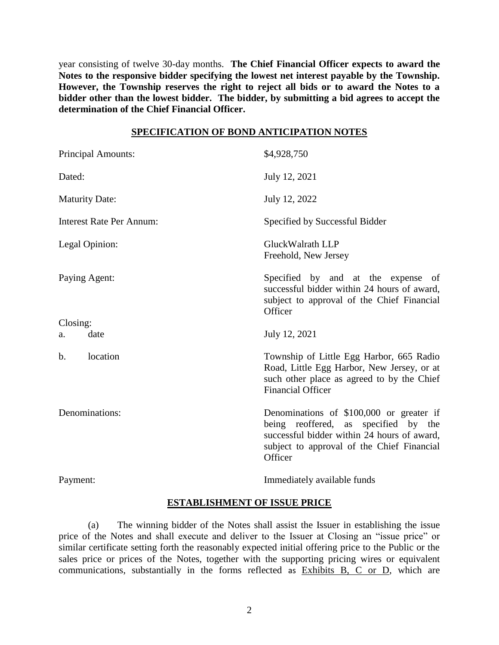year consisting of twelve 30-day months. **The Chief Financial Officer expects to award the Notes to the responsive bidder specifying the lowest net interest payable by the Township. However, the Township reserves the right to reject all bids or to award the Notes to a bidder other than the lowest bidder. The bidder, by submitting a bid agrees to accept the determination of the Chief Financial Officer.**

#### **SPECIFICATION OF BOND ANTICIPATION NOTES**

| <b>Principal Amounts:</b>       | \$4,928,750                                                                                                                                                                              |
|---------------------------------|------------------------------------------------------------------------------------------------------------------------------------------------------------------------------------------|
| Dated:                          | July 12, 2021                                                                                                                                                                            |
| <b>Maturity Date:</b>           | July 12, 2022                                                                                                                                                                            |
| <b>Interest Rate Per Annum:</b> | Specified by Successful Bidder                                                                                                                                                           |
| Legal Opinion:                  | GluckWalrath LLP<br>Freehold, New Jersey                                                                                                                                                 |
| Paying Agent:                   | Specified by and at the expense of<br>successful bidder within 24 hours of award,<br>subject to approval of the Chief Financial<br>Officer                                               |
| Closing:                        |                                                                                                                                                                                          |
| date<br>a.                      | July 12, 2021                                                                                                                                                                            |
| location<br>$\mathbf b$ .       | Township of Little Egg Harbor, 665 Radio<br>Road, Little Egg Harbor, New Jersey, or at<br>such other place as agreed to by the Chief<br><b>Financial Officer</b>                         |
| Denominations:                  | Denominations of \$100,000 or greater if<br>being reoffered, as specified by the<br>successful bidder within 24 hours of award,<br>subject to approval of the Chief Financial<br>Officer |
| Payment:                        | Immediately available funds                                                                                                                                                              |

## **ESTABLISHMENT OF ISSUE PRICE**

(a) The winning bidder of the Notes shall assist the Issuer in establishing the issue price of the Notes and shall execute and deliver to the Issuer at Closing an "issue price" or similar certificate setting forth the reasonably expected initial offering price to the Public or the sales price or prices of the Notes, together with the supporting pricing wires or equivalent communications, substantially in the forms reflected as Exhibits B, C or D, which are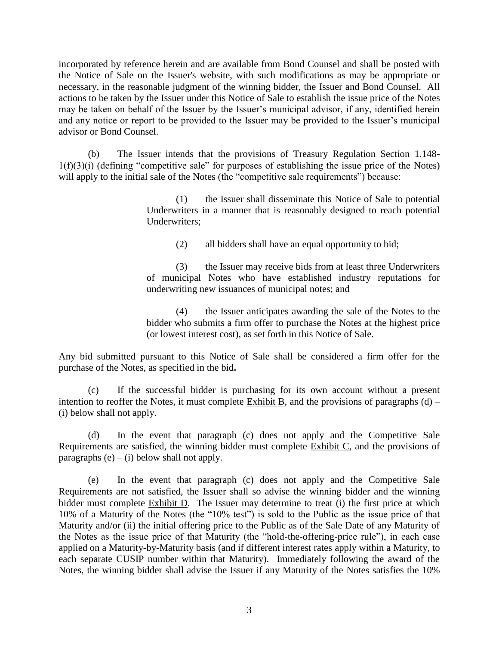incorporated by reference herein and are available from Bond Counsel and shall be posted with the Notice of Sale on the Issuer's website, with such modifications as may be appropriate or necessary, in the reasonable judgment of the winning bidder, the Issuer and Bond Counsel. All actions to be taken by the Issuer under this Notice of Sale to establish the issue price of the Notes may be taken on behalf of the Issuer by the Issuer's municipal advisor, if any, identified herein and any notice or report to be provided to the Issuer may be provided to the Issuer's municipal advisor or Bond Counsel.

(b) The Issuer intends that the provisions of Treasury Regulation Section 1.148- 1(f)(3)(i) (defining "competitive sale" for purposes of establishing the issue price of the Notes) will apply to the initial sale of the Notes (the "competitive sale requirements") because:

> (1) the Issuer shall disseminate this Notice of Sale to potential Underwriters in a manner that is reasonably designed to reach potential Underwriters;

> > (2) all bidders shall have an equal opportunity to bid;

(3) the Issuer may receive bids from at least three Underwriters of municipal Notes who have established industry reputations for underwriting new issuances of municipal notes; and

(4) the Issuer anticipates awarding the sale of the Notes to the bidder who submits a firm offer to purchase the Notes at the highest price (or lowest interest cost), as set forth in this Notice of Sale.

Any bid submitted pursuant to this Notice of Sale shall be considered a firm offer for the purchase of the Notes, as specified in the bid**.**

(c) If the successful bidder is purchasing for its own account without a present intention to reoffer the Notes, it must complete Exhibit B, and the provisions of paragraphs (d) – (i) below shall not apply.

(d) In the event that paragraph (c) does not apply and the Competitive Sale Requirements are satisfied, the winning bidder must complete Exhibit C, and the provisions of paragraphs  $(e) - (i)$  below shall not apply.

(e) In the event that paragraph (c) does not apply and the Competitive Sale Requirements are not satisfied, the Issuer shall so advise the winning bidder and the winning bidder must complete Exhibit D. The Issuer may determine to treat (i) the first price at which 10% of a Maturity of the Notes (the "10% test") is sold to the Public as the issue price of that Maturity and/or (ii) the initial offering price to the Public as of the Sale Date of any Maturity of the Notes as the issue price of that Maturity (the "hold-the-offering-price rule"), in each case applied on a Maturity-by-Maturity basis (and if different interest rates apply within a Maturity, to each separate CUSIP number within that Maturity). Immediately following the award of the Notes, the winning bidder shall advise the Issuer if any Maturity of the Notes satisfies the 10%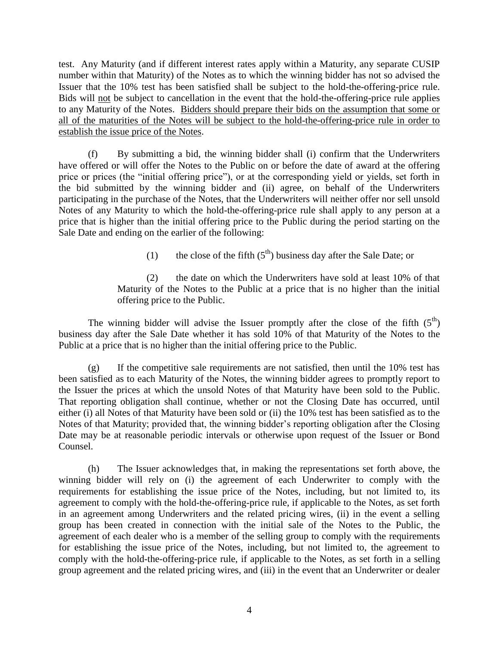test. Any Maturity (and if different interest rates apply within a Maturity, any separate CUSIP number within that Maturity) of the Notes as to which the winning bidder has not so advised the Issuer that the 10% test has been satisfied shall be subject to the hold-the-offering-price rule. Bids will not be subject to cancellation in the event that the hold-the-offering-price rule applies to any Maturity of the Notes. Bidders should prepare their bids on the assumption that some or all of the maturities of the Notes will be subject to the hold-the-offering-price rule in order to establish the issue price of the Notes.

(f) By submitting a bid, the winning bidder shall (i) confirm that the Underwriters have offered or will offer the Notes to the Public on or before the date of award at the offering price or prices (the "initial offering price"), or at the corresponding yield or yields, set forth in the bid submitted by the winning bidder and (ii) agree, on behalf of the Underwriters participating in the purchase of the Notes, that the Underwriters will neither offer nor sell unsold Notes of any Maturity to which the hold-the-offering-price rule shall apply to any person at a price that is higher than the initial offering price to the Public during the period starting on the Sale Date and ending on the earlier of the following:

(1) the close of the fifth  $(5<sup>th</sup>)$  business day after the Sale Date; or

(2) the date on which the Underwriters have sold at least 10% of that Maturity of the Notes to the Public at a price that is no higher than the initial offering price to the Public.

The winning bidder will advise the Issuer promptly after the close of the fifth  $(5<sup>th</sup>)$ business day after the Sale Date whether it has sold 10% of that Maturity of the Notes to the Public at a price that is no higher than the initial offering price to the Public.

(g) If the competitive sale requirements are not satisfied, then until the 10% test has been satisfied as to each Maturity of the Notes, the winning bidder agrees to promptly report to the Issuer the prices at which the unsold Notes of that Maturity have been sold to the Public. That reporting obligation shall continue, whether or not the Closing Date has occurred, until either (i) all Notes of that Maturity have been sold or (ii) the 10% test has been satisfied as to the Notes of that Maturity; provided that, the winning bidder's reporting obligation after the Closing Date may be at reasonable periodic intervals or otherwise upon request of the Issuer or Bond Counsel.

(h) The Issuer acknowledges that, in making the representations set forth above, the winning bidder will rely on (i) the agreement of each Underwriter to comply with the requirements for establishing the issue price of the Notes, including, but not limited to, its agreement to comply with the hold-the-offering-price rule, if applicable to the Notes, as set forth in an agreement among Underwriters and the related pricing wires, (ii) in the event a selling group has been created in connection with the initial sale of the Notes to the Public, the agreement of each dealer who is a member of the selling group to comply with the requirements for establishing the issue price of the Notes, including, but not limited to, the agreement to comply with the hold-the-offering-price rule, if applicable to the Notes, as set forth in a selling group agreement and the related pricing wires, and (iii) in the event that an Underwriter or dealer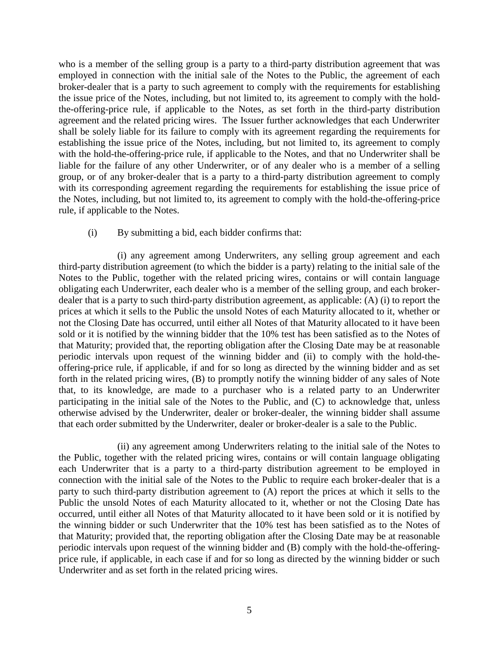who is a member of the selling group is a party to a third-party distribution agreement that was employed in connection with the initial sale of the Notes to the Public, the agreement of each broker-dealer that is a party to such agreement to comply with the requirements for establishing the issue price of the Notes, including, but not limited to, its agreement to comply with the holdthe-offering-price rule, if applicable to the Notes, as set forth in the third-party distribution agreement and the related pricing wires. The Issuer further acknowledges that each Underwriter shall be solely liable for its failure to comply with its agreement regarding the requirements for establishing the issue price of the Notes, including, but not limited to, its agreement to comply with the hold-the-offering-price rule, if applicable to the Notes, and that no Underwriter shall be liable for the failure of any other Underwriter, or of any dealer who is a member of a selling group, or of any broker-dealer that is a party to a third-party distribution agreement to comply with its corresponding agreement regarding the requirements for establishing the issue price of the Notes, including, but not limited to, its agreement to comply with the hold-the-offering-price rule, if applicable to the Notes.

### (i) By submitting a bid, each bidder confirms that:

(i) any agreement among Underwriters, any selling group agreement and each third-party distribution agreement (to which the bidder is a party) relating to the initial sale of the Notes to the Public, together with the related pricing wires, contains or will contain language obligating each Underwriter, each dealer who is a member of the selling group, and each brokerdealer that is a party to such third-party distribution agreement, as applicable: (A) (i) to report the prices at which it sells to the Public the unsold Notes of each Maturity allocated to it, whether or not the Closing Date has occurred, until either all Notes of that Maturity allocated to it have been sold or it is notified by the winning bidder that the 10% test has been satisfied as to the Notes of that Maturity; provided that, the reporting obligation after the Closing Date may be at reasonable periodic intervals upon request of the winning bidder and (ii) to comply with the hold-theoffering-price rule, if applicable, if and for so long as directed by the winning bidder and as set forth in the related pricing wires, (B) to promptly notify the winning bidder of any sales of Note that, to its knowledge, are made to a purchaser who is a related party to an Underwriter participating in the initial sale of the Notes to the Public, and (C) to acknowledge that, unless otherwise advised by the Underwriter, dealer or broker-dealer, the winning bidder shall assume that each order submitted by the Underwriter, dealer or broker-dealer is a sale to the Public.

(ii) any agreement among Underwriters relating to the initial sale of the Notes to the Public, together with the related pricing wires, contains or will contain language obligating each Underwriter that is a party to a third-party distribution agreement to be employed in connection with the initial sale of the Notes to the Public to require each broker-dealer that is a party to such third-party distribution agreement to (A) report the prices at which it sells to the Public the unsold Notes of each Maturity allocated to it, whether or not the Closing Date has occurred, until either all Notes of that Maturity allocated to it have been sold or it is notified by the winning bidder or such Underwriter that the 10% test has been satisfied as to the Notes of that Maturity; provided that, the reporting obligation after the Closing Date may be at reasonable periodic intervals upon request of the winning bidder and (B) comply with the hold-the-offeringprice rule, if applicable, in each case if and for so long as directed by the winning bidder or such Underwriter and as set forth in the related pricing wires.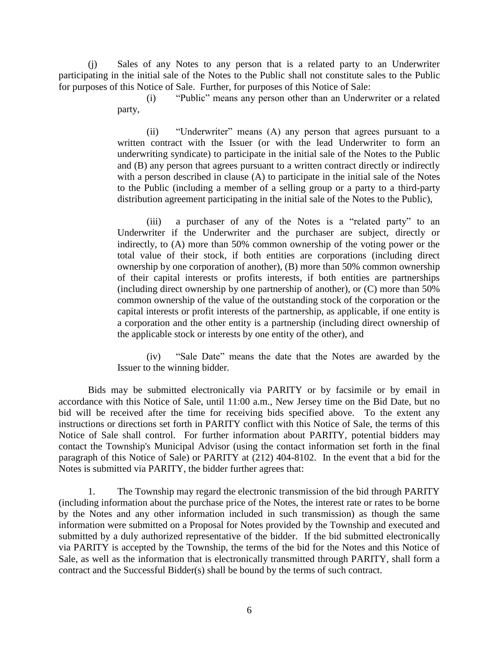(j) Sales of any Notes to any person that is a related party to an Underwriter participating in the initial sale of the Notes to the Public shall not constitute sales to the Public for purposes of this Notice of Sale. Further, for purposes of this Notice of Sale:

> (i) "Public" means any person other than an Underwriter or a related party,

> (ii) "Underwriter" means (A) any person that agrees pursuant to a written contract with the Issuer (or with the lead Underwriter to form an underwriting syndicate) to participate in the initial sale of the Notes to the Public and (B) any person that agrees pursuant to a written contract directly or indirectly with a person described in clause (A) to participate in the initial sale of the Notes to the Public (including a member of a selling group or a party to a third-party distribution agreement participating in the initial sale of the Notes to the Public),

> (iii) a purchaser of any of the Notes is a "related party" to an Underwriter if the Underwriter and the purchaser are subject, directly or indirectly, to (A) more than 50% common ownership of the voting power or the total value of their stock, if both entities are corporations (including direct ownership by one corporation of another), (B) more than 50% common ownership of their capital interests or profits interests, if both entities are partnerships (including direct ownership by one partnership of another), or (C) more than 50% common ownership of the value of the outstanding stock of the corporation or the capital interests or profit interests of the partnership, as applicable, if one entity is a corporation and the other entity is a partnership (including direct ownership of the applicable stock or interests by one entity of the other), and

> (iv) "Sale Date" means the date that the Notes are awarded by the Issuer to the winning bidder.

Bids may be submitted electronically via PARITY or by facsimile or by email in accordance with this Notice of Sale, until 11:00 a.m., New Jersey time on the Bid Date, but no bid will be received after the time for receiving bids specified above. To the extent any instructions or directions set forth in PARITY conflict with this Notice of Sale, the terms of this Notice of Sale shall control. For further information about PARITY, potential bidders may contact the Township's Municipal Advisor (using the contact information set forth in the final paragraph of this Notice of Sale) or PARITY at (212) 404-8102. In the event that a bid for the Notes is submitted via PARITY, the bidder further agrees that:

1. The Township may regard the electronic transmission of the bid through PARITY (including information about the purchase price of the Notes, the interest rate or rates to be borne by the Notes and any other information included in such transmission) as though the same information were submitted on a Proposal for Notes provided by the Township and executed and submitted by a duly authorized representative of the bidder. If the bid submitted electronically via PARITY is accepted by the Township, the terms of the bid for the Notes and this Notice of Sale, as well as the information that is electronically transmitted through PARITY, shall form a contract and the Successful Bidder(s) shall be bound by the terms of such contract.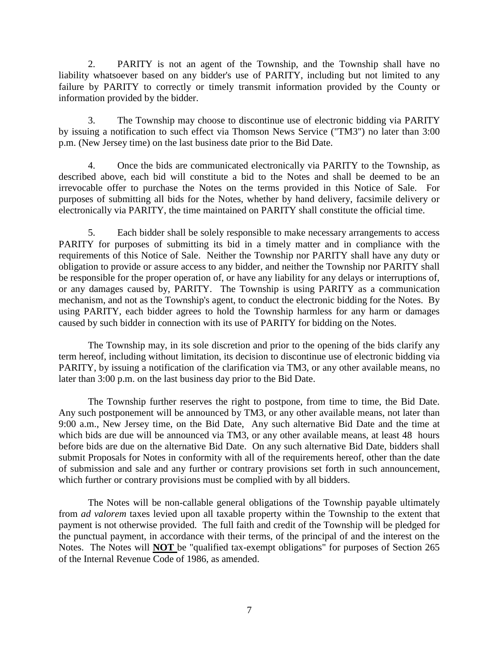2. PARITY is not an agent of the Township, and the Township shall have no liability whatsoever based on any bidder's use of PARITY, including but not limited to any failure by PARITY to correctly or timely transmit information provided by the County or information provided by the bidder.

3. The Township may choose to discontinue use of electronic bidding via PARITY by issuing a notification to such effect via Thomson News Service ("TM3") no later than 3:00 p.m. (New Jersey time) on the last business date prior to the Bid Date.

4. Once the bids are communicated electronically via PARITY to the Township, as described above, each bid will constitute a bid to the Notes and shall be deemed to be an irrevocable offer to purchase the Notes on the terms provided in this Notice of Sale. For purposes of submitting all bids for the Notes, whether by hand delivery, facsimile delivery or electronically via PARITY, the time maintained on PARITY shall constitute the official time.

5. Each bidder shall be solely responsible to make necessary arrangements to access PARITY for purposes of submitting its bid in a timely matter and in compliance with the requirements of this Notice of Sale. Neither the Township nor PARITY shall have any duty or obligation to provide or assure access to any bidder, and neither the Township nor PARITY shall be responsible for the proper operation of, or have any liability for any delays or interruptions of, or any damages caused by, PARITY. The Township is using PARITY as a communication mechanism, and not as the Township's agent, to conduct the electronic bidding for the Notes. By using PARITY, each bidder agrees to hold the Township harmless for any harm or damages caused by such bidder in connection with its use of PARITY for bidding on the Notes.

The Township may, in its sole discretion and prior to the opening of the bids clarify any term hereof, including without limitation, its decision to discontinue use of electronic bidding via PARITY, by issuing a notification of the clarification via TM3, or any other available means, no later than 3:00 p.m. on the last business day prior to the Bid Date.

The Township further reserves the right to postpone, from time to time, the Bid Date. Any such postponement will be announced by TM3, or any other available means, not later than 9:00 a.m., New Jersey time, on the Bid Date, Any such alternative Bid Date and the time at which bids are due will be announced via TM3, or any other available means, at least 48 hours before bids are due on the alternative Bid Date. On any such alternative Bid Date, bidders shall submit Proposals for Notes in conformity with all of the requirements hereof, other than the date of submission and sale and any further or contrary provisions set forth in such announcement, which further or contrary provisions must be complied with by all bidders.

The Notes will be non-callable general obligations of the Township payable ultimately from *ad valorem* taxes levied upon all taxable property within the Township to the extent that payment is not otherwise provided. The full faith and credit of the Township will be pledged for the punctual payment, in accordance with their terms, of the principal of and the interest on the Notes. The Notes will **NOT** be "qualified tax-exempt obligations" for purposes of Section 265 of the Internal Revenue Code of 1986, as amended.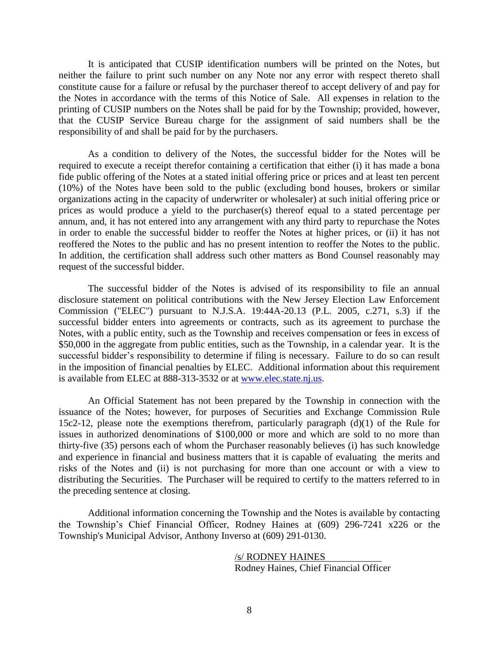It is anticipated that CUSIP identification numbers will be printed on the Notes, but neither the failure to print such number on any Note nor any error with respect thereto shall constitute cause for a failure or refusal by the purchaser thereof to accept delivery of and pay for the Notes in accordance with the terms of this Notice of Sale. All expenses in relation to the printing of CUSIP numbers on the Notes shall be paid for by the Township; provided, however, that the CUSIP Service Bureau charge for the assignment of said numbers shall be the responsibility of and shall be paid for by the purchasers.

As a condition to delivery of the Notes, the successful bidder for the Notes will be required to execute a receipt therefor containing a certification that either (i) it has made a bona fide public offering of the Notes at a stated initial offering price or prices and at least ten percent (10%) of the Notes have been sold to the public (excluding bond houses, brokers or similar organizations acting in the capacity of underwriter or wholesaler) at such initial offering price or prices as would produce a yield to the purchaser(s) thereof equal to a stated percentage per annum, and, it has not entered into any arrangement with any third party to repurchase the Notes in order to enable the successful bidder to reoffer the Notes at higher prices, or (ii) it has not reoffered the Notes to the public and has no present intention to reoffer the Notes to the public. In addition, the certification shall address such other matters as Bond Counsel reasonably may request of the successful bidder.

The successful bidder of the Notes is advised of its responsibility to file an annual disclosure statement on political contributions with the New Jersey Election Law Enforcement Commission ("ELEC") pursuant to N.J.S.A. 19:44A-20.13 (P.L. 2005, c.271, s.3) if the successful bidder enters into agreements or contracts, such as its agreement to purchase the Notes, with a public entity, such as the Township and receives compensation or fees in excess of \$50,000 in the aggregate from public entities, such as the Township, in a calendar year. It is the successful bidder's responsibility to determine if filing is necessary. Failure to do so can result in the imposition of financial penalties by ELEC. Additional information about this requirement is available from ELEC at 888-313-3532 or at [www.elec.state.nj.us.](http://www.elec.state.nj.us/)

An Official Statement has not been prepared by the Township in connection with the issuance of the Notes; however, for purposes of Securities and Exchange Commission Rule 15c2-12, please note the exemptions therefrom, particularly paragraph (d)(1) of the Rule for issues in authorized denominations of \$100,000 or more and which are sold to no more than thirty-five (35) persons each of whom the Purchaser reasonably believes (i) has such knowledge and experience in financial and business matters that it is capable of evaluating the merits and risks of the Notes and (ii) is not purchasing for more than one account or with a view to distributing the Securities. The Purchaser will be required to certify to the matters referred to in the preceding sentence at closing.

Additional information concerning the Township and the Notes is available by contacting the Township's Chief Financial Officer, Rodney Haines at (609) 296-7241 x226 or the Township's Municipal Advisor, Anthony Inverso at (609) 291-0130.

> /s/ RODNEY HAINES Rodney Haines, Chief Financial Officer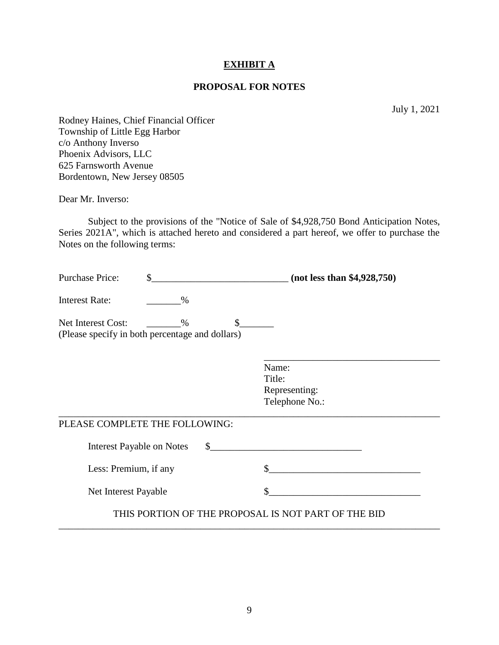### **EXHIBIT A**

## **PROPOSAL FOR NOTES**

July 1, 2021

Rodney Haines, Chief Financial Officer Township of Little Egg Harbor c/o Anthony Inverso Phoenix Advisors, LLC 625 Farnsworth Avenue Bordentown, New Jersey 08505

Dear Mr. Inverso:

Subject to the provisions of the "Notice of Sale of \$4,928,750 Bond Anticipation Notes, Series 2021A", which is attached hereto and considered a part hereof, we offer to purchase the Notes on the following terms:

| <b>Purchase Price:</b>                                                | $\mathbf{\hat{S}}$<br>(not less than \$4,928,750) |              |                                                     |  |  |
|-----------------------------------------------------------------------|---------------------------------------------------|--------------|-----------------------------------------------------|--|--|
| <b>Interest Rate:</b>                                                 | $\%$                                              |              |                                                     |  |  |
| Net Interest Cost:<br>(Please specify in both percentage and dollars) | $\%$                                              | $\mathbb{S}$ |                                                     |  |  |
|                                                                       |                                                   |              | Name:<br>Title:<br>Representing:<br>Telephone No.:  |  |  |
| PLEASE COMPLETE THE FOLLOWING:                                        |                                                   |              |                                                     |  |  |
| <b>Interest Payable on Notes</b>                                      |                                                   | $\mathbb{S}$ |                                                     |  |  |
| Less: Premium, if any                                                 |                                                   |              |                                                     |  |  |
| Net Interest Payable                                                  |                                                   |              |                                                     |  |  |
|                                                                       |                                                   |              | THIS PORTION OF THE PROPOSAL IS NOT PART OF THE BID |  |  |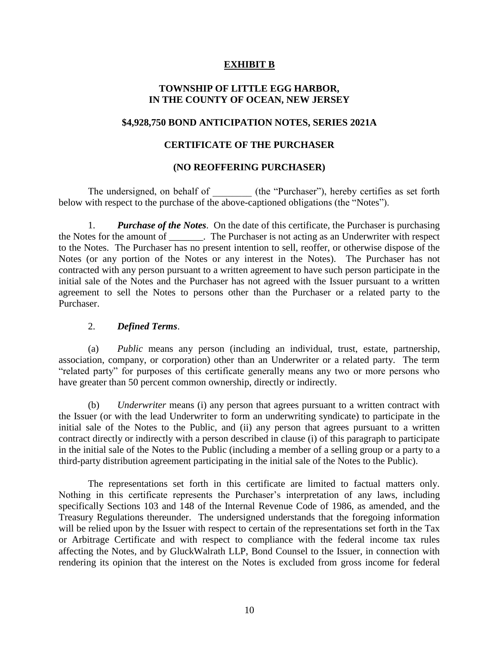## **EXHIBIT B**

## **TOWNSHIP OF LITTLE EGG HARBOR, IN THE COUNTY OF OCEAN, NEW JERSEY**

#### **\$4,928,750 BOND ANTICIPATION NOTES, SERIES 2021A**

#### **CERTIFICATE OF THE PURCHASER**

#### **(NO REOFFERING PURCHASER)**

The undersigned, on behalf of  $($ the "Purchaser"), hereby certifies as set forth below with respect to the purchase of the above-captioned obligations (the "Notes").

1. *Purchase of the Notes*. On the date of this certificate, the Purchaser is purchasing the Notes for the amount of \_\_\_\_\_\_\_. The Purchaser is not acting as an Underwriter with respect to the Notes. The Purchaser has no present intention to sell, reoffer, or otherwise dispose of the Notes (or any portion of the Notes or any interest in the Notes). The Purchaser has not contracted with any person pursuant to a written agreement to have such person participate in the initial sale of the Notes and the Purchaser has not agreed with the Issuer pursuant to a written agreement to sell the Notes to persons other than the Purchaser or a related party to the Purchaser.

#### 2. *Defined Terms*.

(a) *Public* means any person (including an individual, trust, estate, partnership, association, company, or corporation) other than an Underwriter or a related party. The term "related party" for purposes of this certificate generally means any two or more persons who have greater than 50 percent common ownership, directly or indirectly.

(b) *Underwriter* means (i) any person that agrees pursuant to a written contract with the Issuer (or with the lead Underwriter to form an underwriting syndicate) to participate in the initial sale of the Notes to the Public, and (ii) any person that agrees pursuant to a written contract directly or indirectly with a person described in clause (i) of this paragraph to participate in the initial sale of the Notes to the Public (including a member of a selling group or a party to a third-party distribution agreement participating in the initial sale of the Notes to the Public).

The representations set forth in this certificate are limited to factual matters only. Nothing in this certificate represents the Purchaser's interpretation of any laws, including specifically Sections 103 and 148 of the Internal Revenue Code of 1986, as amended, and the Treasury Regulations thereunder. The undersigned understands that the foregoing information will be relied upon by the Issuer with respect to certain of the representations set forth in the Tax or Arbitrage Certificate and with respect to compliance with the federal income tax rules affecting the Notes, and by GluckWalrath LLP, Bond Counsel to the Issuer, in connection with rendering its opinion that the interest on the Notes is excluded from gross income for federal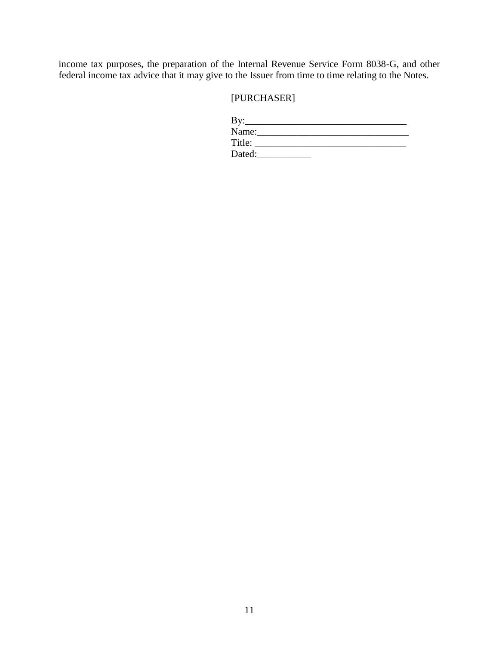income tax purposes, the preparation of the Internal Revenue Service Form 8038-G, and other federal income tax advice that it may give to the Issuer from time to time relating to the Notes.

## [PURCHASER]

| By:    |  |  |
|--------|--|--|
| Name:  |  |  |
| Title: |  |  |
| Dated: |  |  |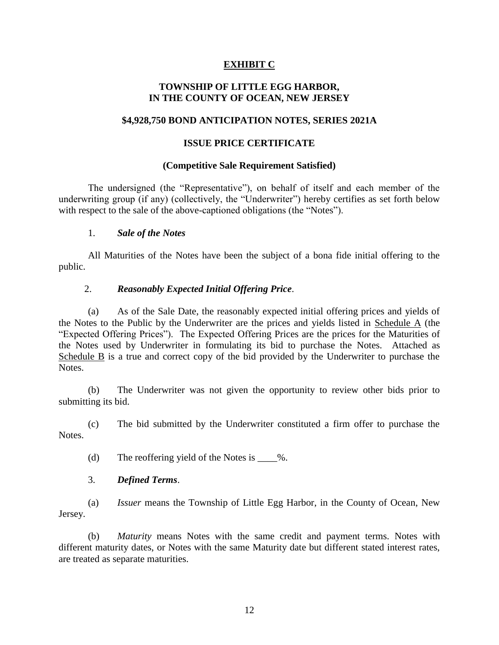## **EXHIBIT C**

## **TOWNSHIP OF LITTLE EGG HARBOR, IN THE COUNTY OF OCEAN, NEW JERSEY**

### **\$4,928,750 BOND ANTICIPATION NOTES, SERIES 2021A**

#### **ISSUE PRICE CERTIFICATE**

#### **(Competitive Sale Requirement Satisfied)**

The undersigned (the "Representative"), on behalf of itself and each member of the underwriting group (if any) (collectively, the "Underwriter") hereby certifies as set forth below with respect to the sale of the above-captioned obligations (the "Notes").

#### 1. *Sale of the Notes*

All Maturities of the Notes have been the subject of a bona fide initial offering to the public.

### 2. *Reasonably Expected Initial Offering Price*.

(a) As of the Sale Date, the reasonably expected initial offering prices and yields of the Notes to the Public by the Underwriter are the prices and yields listed in Schedule A (the "Expected Offering Prices"). The Expected Offering Prices are the prices for the Maturities of the Notes used by Underwriter in formulating its bid to purchase the Notes. Attached as Schedule B is a true and correct copy of the bid provided by the Underwriter to purchase the Notes.

(b) The Underwriter was not given the opportunity to review other bids prior to submitting its bid.

(c) The bid submitted by the Underwriter constituted a firm offer to purchase the Notes.

(d) The reoffering yield of the Notes is  $\%$ .

### 3. *Defined Terms*.

(a) *Issuer* means the Township of Little Egg Harbor, in the County of Ocean, New Jersey.

(b) *Maturity* means Notes with the same credit and payment terms. Notes with different maturity dates, or Notes with the same Maturity date but different stated interest rates, are treated as separate maturities.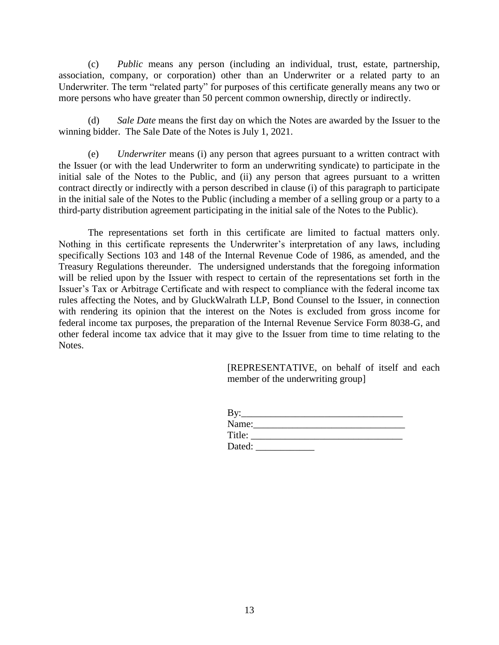(c) *Public* means any person (including an individual, trust, estate, partnership, association, company, or corporation) other than an Underwriter or a related party to an Underwriter. The term "related party" for purposes of this certificate generally means any two or more persons who have greater than 50 percent common ownership, directly or indirectly.

(d) *Sale Date* means the first day on which the Notes are awarded by the Issuer to the winning bidder. The Sale Date of the Notes is July 1, 2021.

(e) *Underwriter* means (i) any person that agrees pursuant to a written contract with the Issuer (or with the lead Underwriter to form an underwriting syndicate) to participate in the initial sale of the Notes to the Public, and (ii) any person that agrees pursuant to a written contract directly or indirectly with a person described in clause (i) of this paragraph to participate in the initial sale of the Notes to the Public (including a member of a selling group or a party to a third-party distribution agreement participating in the initial sale of the Notes to the Public).

The representations set forth in this certificate are limited to factual matters only. Nothing in this certificate represents the Underwriter's interpretation of any laws, including specifically Sections 103 and 148 of the Internal Revenue Code of 1986, as amended, and the Treasury Regulations thereunder. The undersigned understands that the foregoing information will be relied upon by the Issuer with respect to certain of the representations set forth in the Issuer's Tax or Arbitrage Certificate and with respect to compliance with the federal income tax rules affecting the Notes, and by GluckWalrath LLP, Bond Counsel to the Issuer, in connection with rendering its opinion that the interest on the Notes is excluded from gross income for federal income tax purposes, the preparation of the Internal Revenue Service Form 8038-G, and other federal income tax advice that it may give to the Issuer from time to time relating to the Notes.

> [REPRESENTATIVE, on behalf of itself and each member of the underwriting group]

| By:    |  |  |
|--------|--|--|
| Name:  |  |  |
| Title: |  |  |
| Dated: |  |  |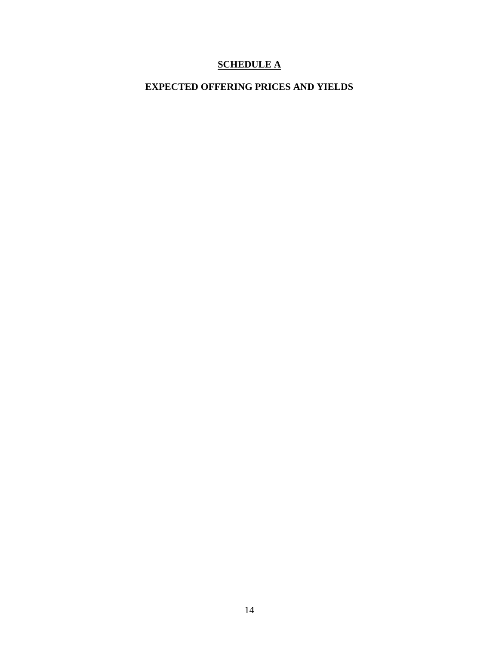# **SCHEDULE A**

# **EXPECTED OFFERING PRICES AND YIELDS**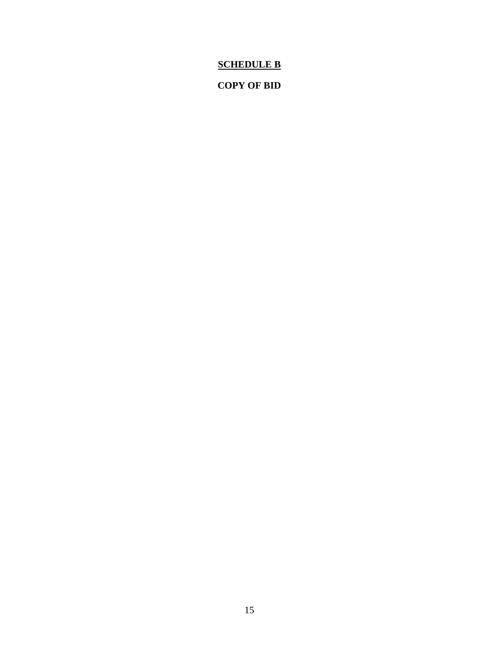# **SCHEDULE B**

## **COPY OF BID**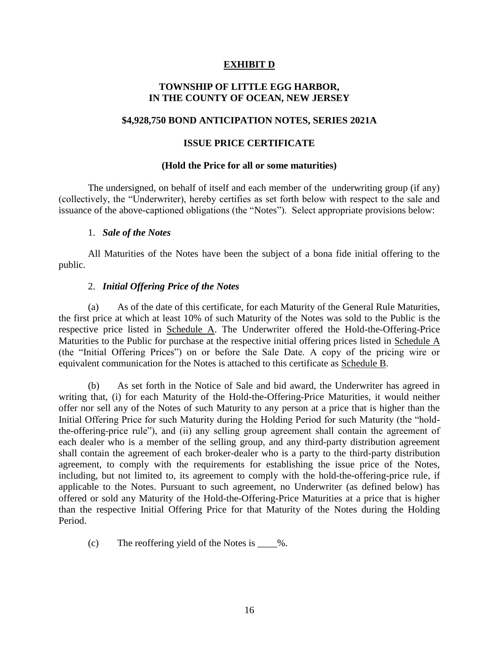## **EXHIBIT D**

## **TOWNSHIP OF LITTLE EGG HARBOR, IN THE COUNTY OF OCEAN, NEW JERSEY**

#### **\$4,928,750 BOND ANTICIPATION NOTES, SERIES 2021A**

#### **ISSUE PRICE CERTIFICATE**

#### **(Hold the Price for all or some maturities)**

The undersigned, on behalf of itself and each member of the underwriting group (if any) (collectively, the "Underwriter), hereby certifies as set forth below with respect to the sale and issuance of the above-captioned obligations (the "Notes"). Select appropriate provisions below:

#### 1. *Sale of the Notes*

All Maturities of the Notes have been the subject of a bona fide initial offering to the public.

#### 2. *Initial Offering Price of the Notes*

As of the date of this certificate, for each Maturity of the General Rule Maturities, the first price at which at least 10% of such Maturity of the Notes was sold to the Public is the respective price listed in Schedule A. The Underwriter offered the Hold-the-Offering-Price Maturities to the Public for purchase at the respective initial offering prices listed in Schedule A (the "Initial Offering Prices") on or before the Sale Date. A copy of the pricing wire or equivalent communication for the Notes is attached to this certificate as Schedule B.

(b) As set forth in the Notice of Sale and bid award, the Underwriter has agreed in writing that, (i) for each Maturity of the Hold-the-Offering-Price Maturities, it would neither offer nor sell any of the Notes of such Maturity to any person at a price that is higher than the Initial Offering Price for such Maturity during the Holding Period for such Maturity (the "holdthe-offering-price rule"), and (ii) any selling group agreement shall contain the agreement of each dealer who is a member of the selling group, and any third-party distribution agreement shall contain the agreement of each broker-dealer who is a party to the third-party distribution agreement, to comply with the requirements for establishing the issue price of the Notes, including, but not limited to, its agreement to comply with the hold-the-offering-price rule, if applicable to the Notes. Pursuant to such agreement, no Underwriter (as defined below) has offered or sold any Maturity of the Hold-the-Offering-Price Maturities at a price that is higher than the respective Initial Offering Price for that Maturity of the Notes during the Holding Period.

(c) The reoffering yield of the Notes is  $\_\_\%$ .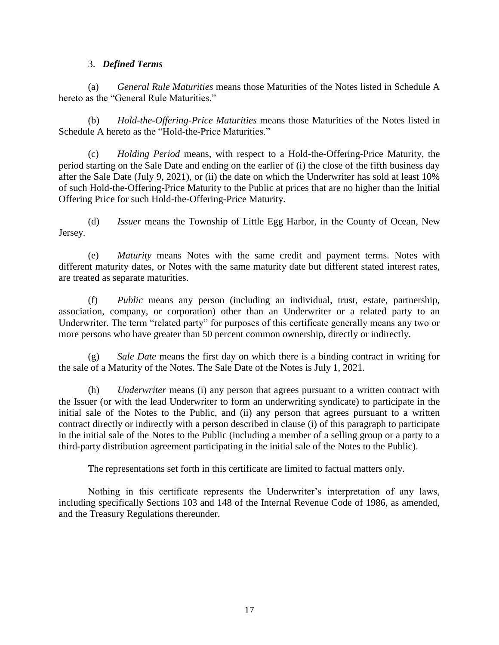#### 3. *Defined Terms*

(a) *General Rule Maturities* means those Maturities of the Notes listed in Schedule A hereto as the "General Rule Maturities."

(b) *Hold-the-Offering-Price Maturities* means those Maturities of the Notes listed in Schedule A hereto as the "Hold-the-Price Maturities."

(c) *Holding Period* means, with respect to a Hold-the-Offering-Price Maturity, the period starting on the Sale Date and ending on the earlier of (i) the close of the fifth business day after the Sale Date (July 9, 2021), or (ii) the date on which the Underwriter has sold at least 10% of such Hold-the-Offering-Price Maturity to the Public at prices that are no higher than the Initial Offering Price for such Hold-the-Offering-Price Maturity.

(d) *Issuer* means the Township of Little Egg Harbor, in the County of Ocean, New Jersey.

(e) *Maturity* means Notes with the same credit and payment terms. Notes with different maturity dates, or Notes with the same maturity date but different stated interest rates, are treated as separate maturities.

(f) *Public* means any person (including an individual, trust, estate, partnership, association, company, or corporation) other than an Underwriter or a related party to an Underwriter. The term "related party" for purposes of this certificate generally means any two or more persons who have greater than 50 percent common ownership, directly or indirectly.

Sale Date means the first day on which there is a binding contract in writing for the sale of a Maturity of the Notes. The Sale Date of the Notes is July 1, 2021.

(h) *Underwriter* means (i) any person that agrees pursuant to a written contract with the Issuer (or with the lead Underwriter to form an underwriting syndicate) to participate in the initial sale of the Notes to the Public, and (ii) any person that agrees pursuant to a written contract directly or indirectly with a person described in clause (i) of this paragraph to participate in the initial sale of the Notes to the Public (including a member of a selling group or a party to a third-party distribution agreement participating in the initial sale of the Notes to the Public).

The representations set forth in this certificate are limited to factual matters only.

Nothing in this certificate represents the Underwriter's interpretation of any laws, including specifically Sections 103 and 148 of the Internal Revenue Code of 1986, as amended, and the Treasury Regulations thereunder.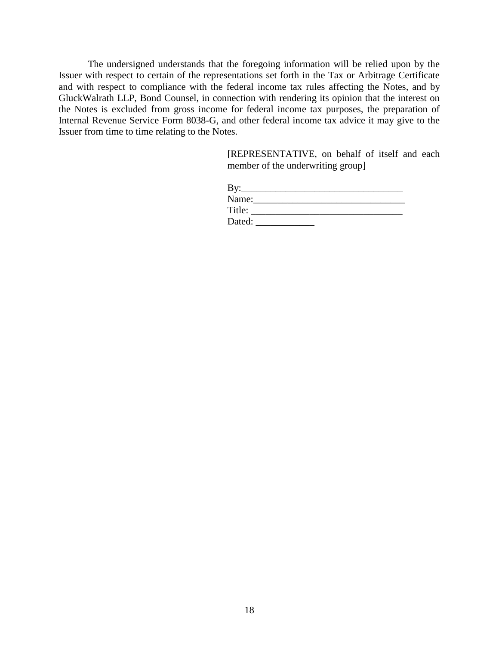The undersigned understands that the foregoing information will be relied upon by the Issuer with respect to certain of the representations set forth in the Tax or Arbitrage Certificate and with respect to compliance with the federal income tax rules affecting the Notes, and by GluckWalrath LLP, Bond Counsel, in connection with rendering its opinion that the interest on the Notes is excluded from gross income for federal income tax purposes, the preparation of Internal Revenue Service Form 8038-G, and other federal income tax advice it may give to the Issuer from time to time relating to the Notes.

> [REPRESENTATIVE, on behalf of itself and each member of the underwriting group]

| By:    |  |  |
|--------|--|--|
| Name:  |  |  |
| Title: |  |  |
| Dated: |  |  |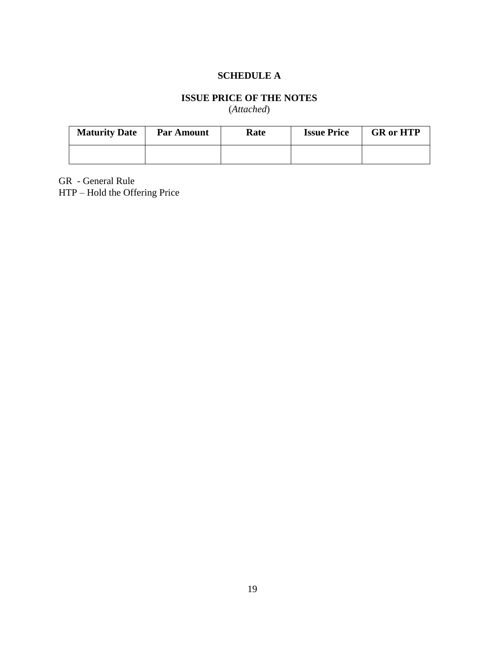## **SCHEDULE A**

# **ISSUE PRICE OF THE NOTES**

(*Attached*)

| <b>Maturity Date</b> | <b>Par Amount</b> | <b>Rate</b> | <b>Issue Price</b> | <b>GR</b> or HTP |
|----------------------|-------------------|-------------|--------------------|------------------|
|                      |                   |             |                    |                  |

GR - General Rule

HTP – Hold the Offering Price